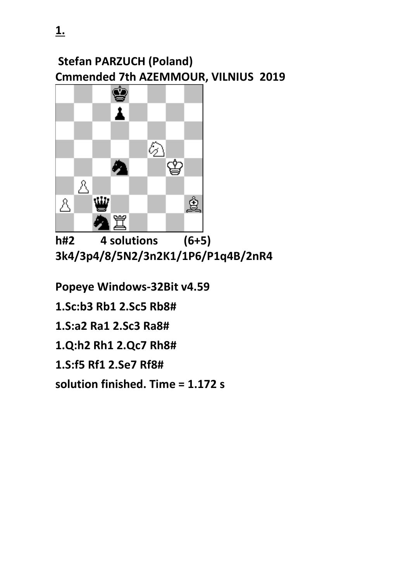## **Stefan PARZUCH (Poland) Cmmended 7th AZEMMOUR, VILNIUS 2019**



**h#2 4 solutions (6+5) 3k4/3p4/8/5N2/3n2K1/1P6/P1q4B/2nR4** 

**Popeye Windows-32Bit v4.59** 

**1.Sc:b3 Rb1 2.Sc5 Rb8#**

**1.S:a2 Ra1 2.Sc3 Ra8#**

**1.Q:h2 Rh1 2.Qc7 Rh8#**

**1.S:f5 Rf1 2.Se7 Rf8#** 

**solution finished. Time = 1.172 s**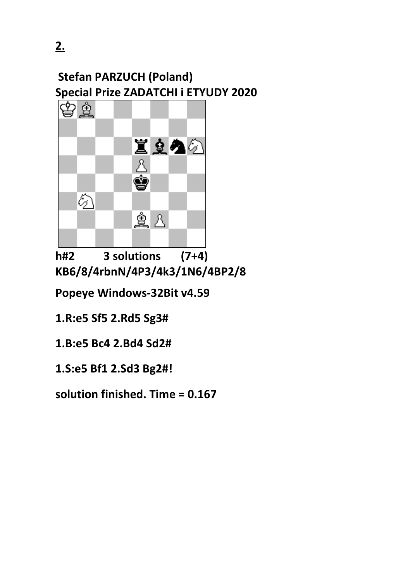### **Stefan PARZUCH (Poland) Special Prize ZADATCHI i ETYUDY 2020**



**h#2 3 solutions (7+4) KB6/8/4rbnN/4P3/4k3/1N6/4BP2/8**

**Popeye Windows-32Bit v4.59** 

**1.R:e5 Sf5 2.Rd5 Sg3#**

**1.B:e5 Bc4 2.Bd4 Sd2#**

**1.S:e5 Bf1 2.Sd3 Bg2#!**

**solution finished. Time = 0.167**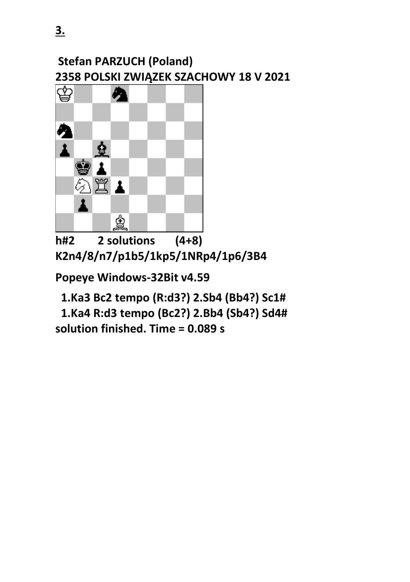#### **Stefan PARZUCH (Poland) 2358 POLSKI ZWIĄZEK SZACHOWY 18 V 2021**



**h#2 2 solutions (4+8) K2n4/8/n7/p1b5/1kp5/1NRp4/1p6/3B4** 

**Popeye Windows-32Bit v4.59** 

 **1.Ka3 Bc2 tempo (R:d3?) 2.Sb4 (Bb4?) Sc1#**

 **1.Ka4 R:d3 tempo (Bc2?) 2.Bb4 (Sb4?) Sd4# solution finished. Time = 0.089 s**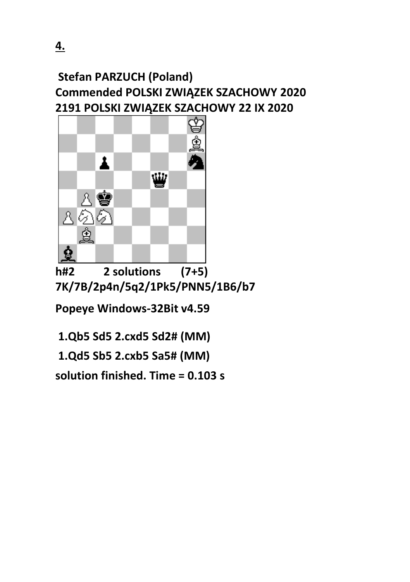#### **Stefan PARZUCH (Poland) Commended POLSKI ZWIĄZEK SZACHOWY 2020 2191 POLSKI ZWIĄZEK SZACHOWY 22 IX 2020**



**h#2 2 solutions (7+5) 7K/7B/2p4n/5q2/1Pk5/PNN5/1B6/b7**

**Popeye Windows-32Bit v4.59** 

**1.Qb5 Sd5 2.cxd5 Sd2# (MM)** 

**1.Qd5 Sb5 2.cxb5 Sa5# (MM)**

**solution finished. Time = 0.103 s**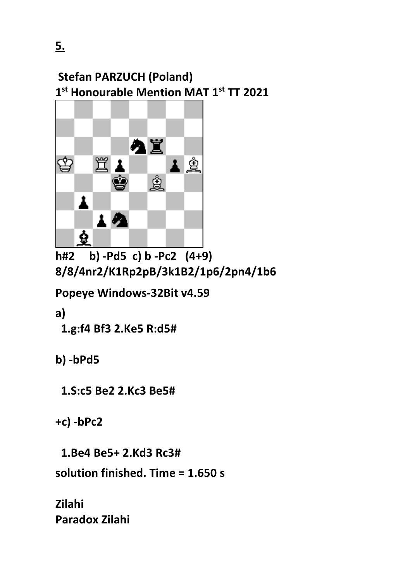

**h#2 b) -Pd5 c) b -Pc2 (4+9) 8/8/4nr2/K1Rp2pB/3k1B2/1p6/2pn4/1b6**

**Popeye Windows-32Bit v4.59** 

**a)**

 **1.g:f4 Bf3 2.Ke5 R:d5#**

**b) -bPd5** 

 **1.S:c5 Be2 2.Kc3 Be5#**

**+c) -bPc2** 

 **1.Be4 Be5+ 2.Kd3 Rc3#** 

**solution finished. Time = 1.650 s**

**Zilahi Paradox Zilahi**